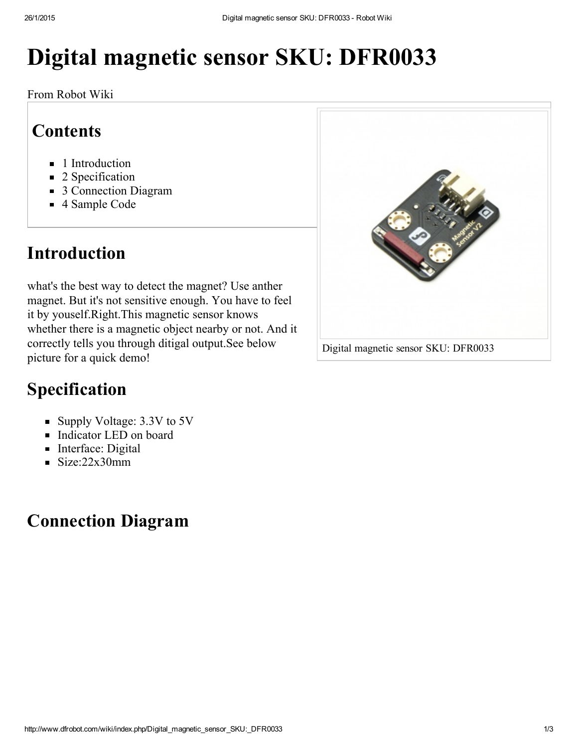# Digital magnetic sensor SKU: DFR0033

From Robot Wiki

### **Contents**

- 1 [Introduction](#page-0-2)
- 2 [Specification](#page-0-0)
- 3 [Connection](#page-0-1) Diagram
- 4 [Sample](#page-1-0) Code

## <span id="page-0-2"></span>Introduction

what's the best way to detect the magnet? Use anther magnet. But it's not sensitive enough. You have to feel it by youself.Right.This magnetic sensor knows whether there is a magnetic object nearby or not. And it correctly tells you through ditigal output.See below picture for a quick demo!



## <span id="page-0-0"></span>Specification

- Supply Voltage: 3.3V to 5V
- Indicator LED on board
- Interface: Digital
- $\blacksquare$  Size:22x30mm

## <span id="page-0-1"></span>Connection Diagram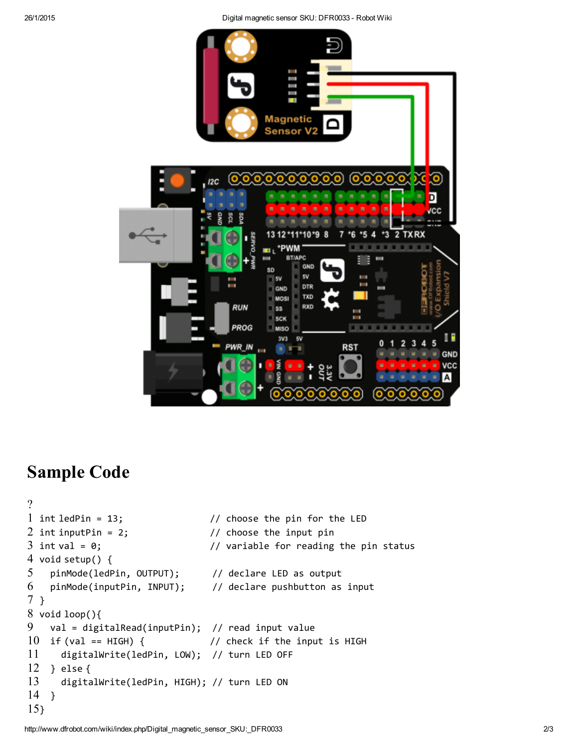

#### <span id="page-1-0"></span>Sample Code

```
?
1 int ledPin = 13;2 int inputPin = 2;
3 int val = 0;
4
void setup() {
5
6
7
}
8
void loop(){
9
10 if (val == HIGH) {
11
12
} else {
13
14
}
15
}\frac{1}{2} choose the pin for the LED
                                 // choose the input pin
                                 // variable for reading the pin status
    pinMode(ledPin, OUTPUT); // declare LED as output
    pinMode(inputPin, INPUT); // declare pushbutton as input
    val = digitalRead(inputPin); // read input value
                                 // check if the input is HIGH
    digitalWrite(ledPin, LOW); // turn LED OFF
      digitalWrite(ledPin, HIGH); // turn LED ON
```